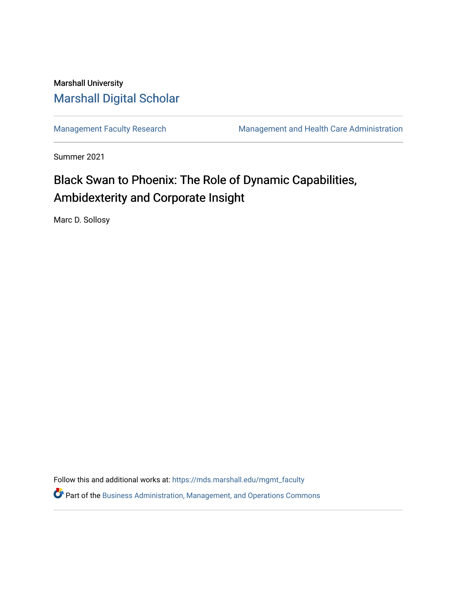## Marshall University [Marshall Digital Scholar](https://mds.marshall.edu/)

[Management Faculty Research](https://mds.marshall.edu/mgmt_faculty) [Management and Health Care Administration](https://mds.marshall.edu/cob_mmm) 

Summer 2021

# Black Swan to Phoenix: The Role of Dynamic Capabilities, Ambidexterity and Corporate Insight

Marc D. Sollosy

Follow this and additional works at: [https://mds.marshall.edu/mgmt\\_faculty](https://mds.marshall.edu/mgmt_faculty?utm_source=mds.marshall.edu%2Fmgmt_faculty%2F238&utm_medium=PDF&utm_campaign=PDFCoverPages)

Part of the [Business Administration, Management, and Operations Commons](http://network.bepress.com/hgg/discipline/623?utm_source=mds.marshall.edu%2Fmgmt_faculty%2F238&utm_medium=PDF&utm_campaign=PDFCoverPages)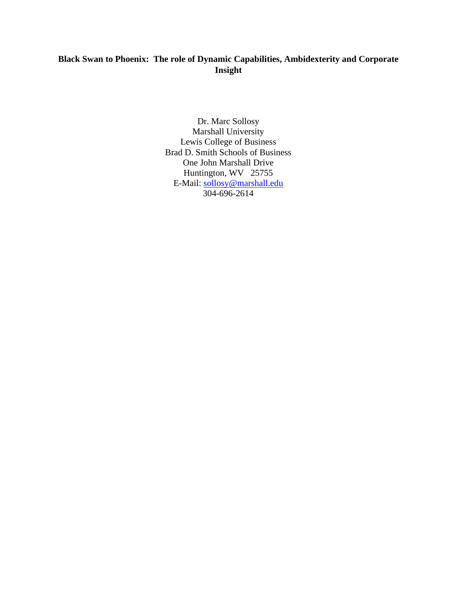### **Black Swan to Phoenix: The role of Dynamic Capabilities, Ambidexterity and Corporate Insight**

Dr. Marc Sollosy Marshall University Lewis College of Business Brad D. Smith Schools of Business One John Marshall Drive Huntington, WV 25755 E-Mail: [sollosy@marshall.edu](mailto:sollosy@marshall.edu) 304-696-2614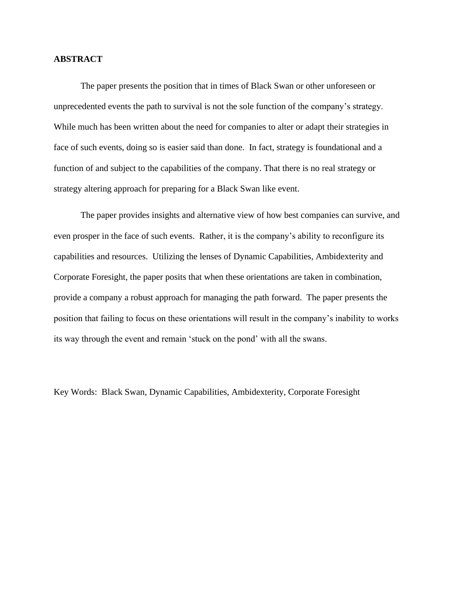#### **ABSTRACT**

The paper presents the position that in times of Black Swan or other unforeseen or unprecedented events the path to survival is not the sole function of the company's strategy. While much has been written about the need for companies to alter or adapt their strategies in face of such events, doing so is easier said than done. In fact, strategy is foundational and a function of and subject to the capabilities of the company. That there is no real strategy or strategy altering approach for preparing for a Black Swan like event.

The paper provides insights and alternative view of how best companies can survive, and even prosper in the face of such events. Rather, it is the company's ability to reconfigure its capabilities and resources. Utilizing the lenses of Dynamic Capabilities, Ambidexterity and Corporate Foresight, the paper posits that when these orientations are taken in combination, provide a company a robust approach for managing the path forward. The paper presents the position that failing to focus on these orientations will result in the company's inability to works its way through the event and remain 'stuck on the pond' with all the swans.

Key Words: Black Swan, Dynamic Capabilities, Ambidexterity, Corporate Foresight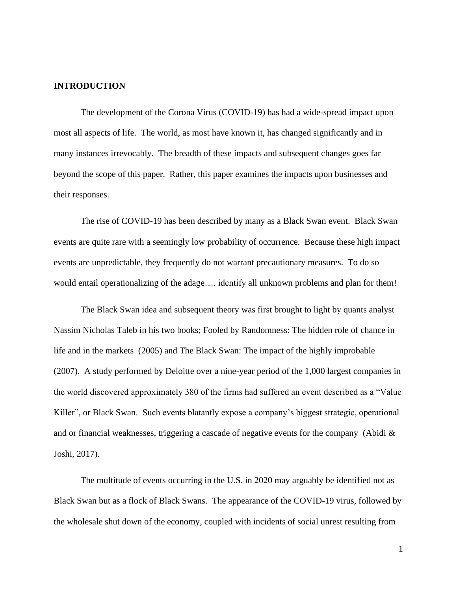#### **INTRODUCTION**

The development of the Corona Virus (COVID-19) has had a wide-spread impact upon most all aspects of life. The world, as most have known it, has changed significantly and in many instances irrevocably. The breadth of these impacts and subsequent changes goes far beyond the scope of this paper. Rather, this paper examines the impacts upon businesses and their responses.

The rise of COVID-19 has been described by many as a Black Swan event. Black Swan events are quite rare with a seemingly low probability of occurrence. Because these high impact events are unpredictable, they frequently do not warrant precautionary measures. To do so would entail operationalizing of the adage…. identify all unknown problems and plan for them!

The Black Swan idea and subsequent theory was first brought to light by quants analyst Nassim Nicholas Taleb in his two books; Fooled by Randomness: The hidden role of chance in life and in the markets (2005) and The Black Swan: The impact of the highly improbable (2007). A study performed by Deloitte over a nine-year period of the 1,000 largest companies in the world discovered approximately 380 of the firms had suffered an event described as a "Value Killer", or Black Swan. Such events blatantly expose a company's biggest strategic, operational and or financial weaknesses, triggering a cascade of negative events for the company (Abidi & Joshi, 2017).

The multitude of events occurring in the U.S. in 2020 may arguably be identified not as Black Swan but as a flock of Black Swans. The appearance of the COVID-19 virus, followed by the wholesale shut down of the economy, coupled with incidents of social unrest resulting from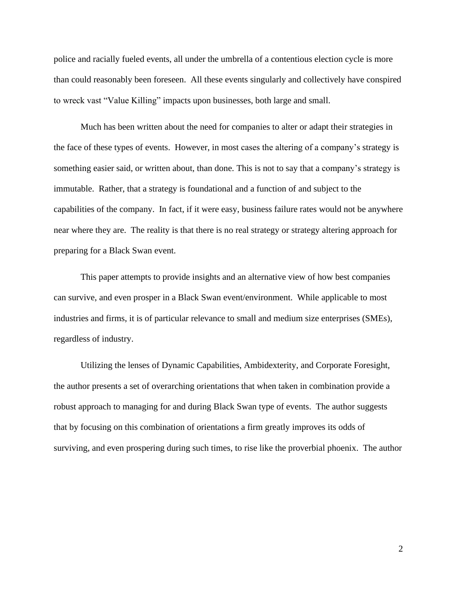police and racially fueled events, all under the umbrella of a contentious election cycle is more than could reasonably been foreseen. All these events singularly and collectively have conspired to wreck vast "Value Killing" impacts upon businesses, both large and small.

Much has been written about the need for companies to alter or adapt their strategies in the face of these types of events. However, in most cases the altering of a company's strategy is something easier said, or written about, than done. This is not to say that a company's strategy is immutable. Rather, that a strategy is foundational and a function of and subject to the capabilities of the company. In fact, if it were easy, business failure rates would not be anywhere near where they are. The reality is that there is no real strategy or strategy altering approach for preparing for a Black Swan event.

This paper attempts to provide insights and an alternative view of how best companies can survive, and even prosper in a Black Swan event/environment. While applicable to most industries and firms, it is of particular relevance to small and medium size enterprises (SMEs), regardless of industry.

Utilizing the lenses of Dynamic Capabilities, Ambidexterity, and Corporate Foresight, the author presents a set of overarching orientations that when taken in combination provide a robust approach to managing for and during Black Swan type of events. The author suggests that by focusing on this combination of orientations a firm greatly improves its odds of surviving, and even prospering during such times, to rise like the proverbial phoenix. The author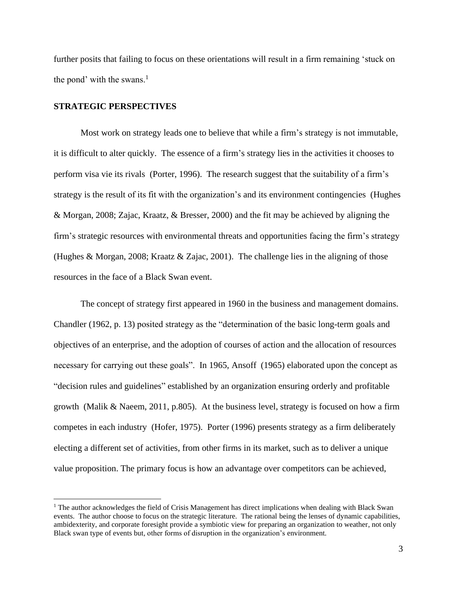further posits that failing to focus on these orientations will result in a firm remaining 'stuck on the pond' with the swans. $<sup>1</sup>$ </sup>

#### **STRATEGIC PERSPECTIVES**

Most work on strategy leads one to believe that while a firm's strategy is not immutable, it is difficult to alter quickly. The essence of a firm's strategy lies in the activities it chooses to perform visa vie its rivals (Porter, 1996). The research suggest that the suitability of a firm's strategy is the result of its fit with the organization's and its environment contingencies (Hughes & Morgan, 2008; Zajac, Kraatz, & Bresser, 2000) and the fit may be achieved by aligning the firm's strategic resources with environmental threats and opportunities facing the firm's strategy (Hughes & Morgan, 2008; Kraatz & Zajac, 2001). The challenge lies in the aligning of those resources in the face of a Black Swan event.

The concept of strategy first appeared in 1960 in the business and management domains. Chandler (1962, p. 13) posited strategy as the "determination of the basic long-term goals and objectives of an enterprise, and the adoption of courses of action and the allocation of resources necessary for carrying out these goals". In 1965, Ansoff (1965) elaborated upon the concept as "decision rules and guidelines" established by an organization ensuring orderly and profitable growth (Malik & Naeem, 2011, p.805). At the business level, strategy is focused on how a firm competes in each industry (Hofer, 1975). Porter (1996) presents strategy as a firm deliberately electing a different set of activities, from other firms in its market, such as to deliver a unique value proposition. The primary focus is how an advantage over competitors can be achieved,

<sup>&</sup>lt;sup>1</sup> The author acknowledges the field of Crisis Management has direct implications when dealing with Black Swan events. The author choose to focus on the strategic literature. The rational being the lenses of dynamic capabilities, ambidexterity, and corporate foresight provide a symbiotic view for preparing an organization to weather, not only Black swan type of events but, other forms of disruption in the organization's environment.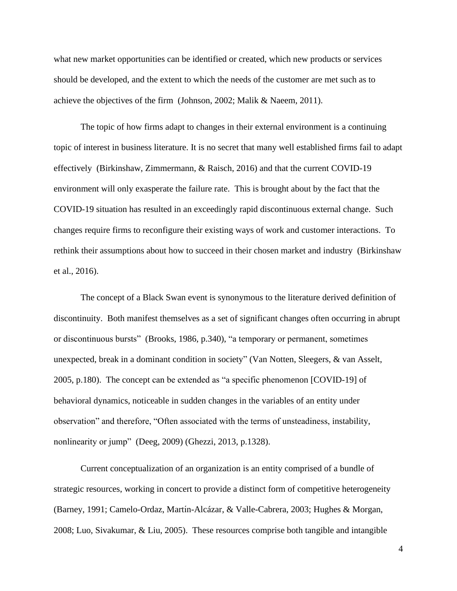what new market opportunities can be identified or created, which new products or services should be developed, and the extent to which the needs of the customer are met such as to achieve the objectives of the firm (Johnson, 2002; Malik & Naeem, 2011).

The topic of how firms adapt to changes in their external environment is a continuing topic of interest in business literature. It is no secret that many well established firms fail to adapt effectively (Birkinshaw, Zimmermann, & Raisch, 2016) and that the current COVID-19 environment will only exasperate the failure rate. This is brought about by the fact that the COVID-19 situation has resulted in an exceedingly rapid discontinuous external change. Such changes require firms to reconfigure their existing ways of work and customer interactions. To rethink their assumptions about how to succeed in their chosen market and industry (Birkinshaw et al., 2016).

The concept of a Black Swan event is synonymous to the literature derived definition of discontinuity. Both manifest themselves as a set of significant changes often occurring in abrupt or discontinuous bursts" (Brooks, 1986, p.340), "a temporary or permanent, sometimes unexpected, break in a dominant condition in society" (Van Notten, Sleegers, & van Asselt, 2005, p.180). The concept can be extended as "a specific phenomenon [COVID-19] of behavioral dynamics, noticeable in sudden changes in the variables of an entity under observation" and therefore, "Often associated with the terms of unsteadiness, instability, nonlinearity or jump" (Deeg, 2009) (Ghezzi, 2013, p.1328).

Current conceptualization of an organization is an entity comprised of a bundle of strategic resources, working in concert to provide a distinct form of competitive heterogeneity (Barney, 1991; Camelo-Ordaz, Martı́n-Alcázar, & Valle-Cabrera, 2003; Hughes & Morgan, 2008; Luo, Sivakumar, & Liu, 2005). These resources comprise both tangible and intangible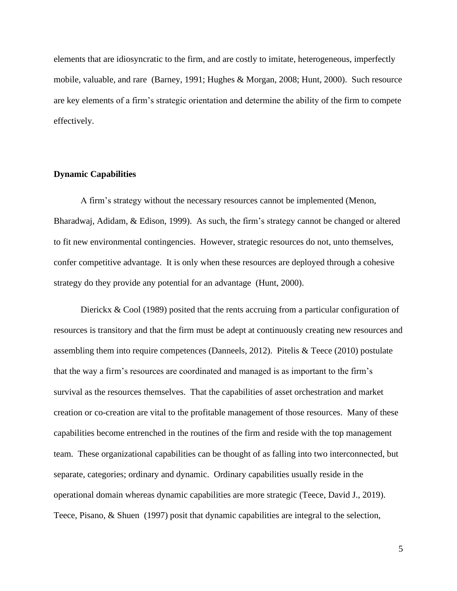elements that are idiosyncratic to the firm, and are costly to imitate, heterogeneous, imperfectly mobile, valuable, and rare (Barney, 1991; Hughes & Morgan, 2008; Hunt, 2000). Such resource are key elements of a firm's strategic orientation and determine the ability of the firm to compete effectively.

#### **Dynamic Capabilities**

A firm's strategy without the necessary resources cannot be implemented (Menon, Bharadwaj, Adidam, & Edison, 1999). As such, the firm's strategy cannot be changed or altered to fit new environmental contingencies. However, strategic resources do not, unto themselves, confer competitive advantage. It is only when these resources are deployed through a cohesive strategy do they provide any potential for an advantage (Hunt, 2000).

Dierickx & Cool (1989) posited that the rents accruing from a particular configuration of resources is transitory and that the firm must be adept at continuously creating new resources and assembling them into require competences (Danneels, 2012). Pitelis & Teece (2010) postulate that the way a firm's resources are coordinated and managed is as important to the firm's survival as the resources themselves. That the capabilities of asset orchestration and market creation or co-creation are vital to the profitable management of those resources. Many of these capabilities become entrenched in the routines of the firm and reside with the top management team. These organizational capabilities can be thought of as falling into two interconnected, but separate, categories; ordinary and dynamic. Ordinary capabilities usually reside in the operational domain whereas dynamic capabilities are more strategic (Teece, David J., 2019). Teece, Pisano, & Shuen (1997) posit that dynamic capabilities are integral to the selection,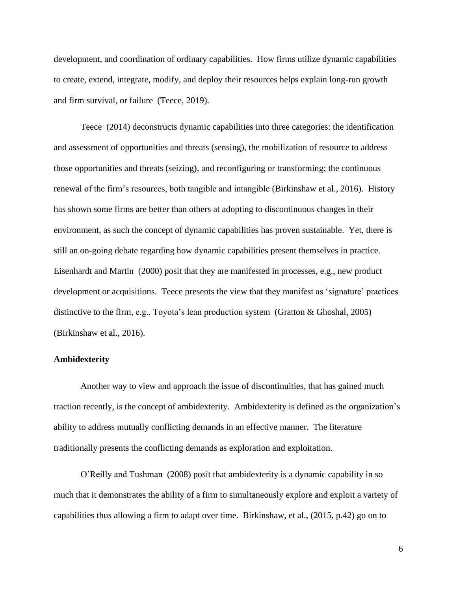development, and coordination of ordinary capabilities. How firms utilize dynamic capabilities to create, extend, integrate, modify, and deploy their resources helps explain long-run growth and firm survival, or failure (Teece, 2019).

Teece (2014) deconstructs dynamic capabilities into three categories: the identification and assessment of opportunities and threats (sensing), the mobilization of resource to address those opportunities and threats (seizing), and reconfiguring or transforming; the continuous renewal of the firm's resources, both tangible and intangible (Birkinshaw et al., 2016). History has shown some firms are better than others at adopting to discontinuous changes in their environment, as such the concept of dynamic capabilities has proven sustainable. Yet, there is still an on-going debate regarding how dynamic capabilities present themselves in practice. Eisenhardt and Martin (2000) posit that they are manifested in processes, e.g., new product development or acquisitions. Teece presents the view that they manifest as 'signature' practices distinctive to the firm, e.g., Toyota's lean production system (Gratton & Ghoshal, 2005) (Birkinshaw et al., 2016).

#### **Ambidexterity**

Another way to view and approach the issue of discontinuities, that has gained much traction recently, is the concept of ambidexterity. Ambidexterity is defined as the organization's ability to address mutually conflicting demands in an effective manner. The literature traditionally presents the conflicting demands as exploration and exploitation.

O'Reilly and Tushman (2008) posit that ambidexterity is a dynamic capability in so much that it demonstrates the ability of a firm to simultaneously explore and exploit a variety of capabilities thus allowing a firm to adapt over time. Birkinshaw, et al., (2015, p.42) go on to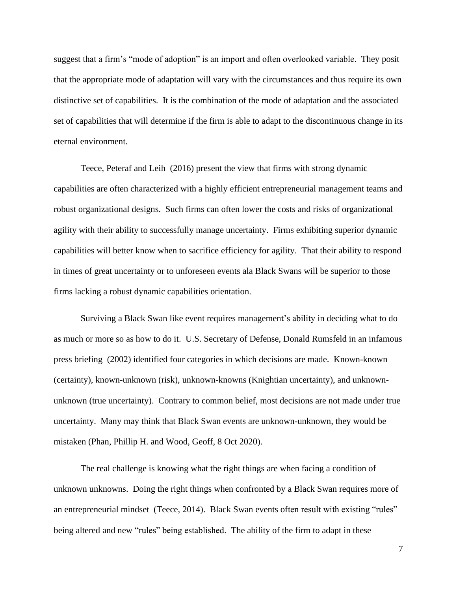suggest that a firm's "mode of adoption" is an import and often overlooked variable. They posit that the appropriate mode of adaptation will vary with the circumstances and thus require its own distinctive set of capabilities. It is the combination of the mode of adaptation and the associated set of capabilities that will determine if the firm is able to adapt to the discontinuous change in its eternal environment.

Teece, Peteraf and Leih (2016) present the view that firms with strong dynamic capabilities are often characterized with a highly efficient entrepreneurial management teams and robust organizational designs. Such firms can often lower the costs and risks of organizational agility with their ability to successfully manage uncertainty. Firms exhibiting superior dynamic capabilities will better know when to sacrifice efficiency for agility. That their ability to respond in times of great uncertainty or to unforeseen events ala Black Swans will be superior to those firms lacking a robust dynamic capabilities orientation.

Surviving a Black Swan like event requires management's ability in deciding what to do as much or more so as how to do it. U.S. Secretary of Defense, Donald Rumsfeld in an infamous press briefing (2002) identified four categories in which decisions are made. Known-known (certainty), known-unknown (risk), unknown-knowns (Knightian uncertainty), and unknownunknown (true uncertainty). Contrary to common belief, most decisions are not made under true uncertainty. Many may think that Black Swan events are unknown-unknown, they would be mistaken (Phan, Phillip H. and Wood, Geoff, 8 Oct 2020).

The real challenge is knowing what the right things are when facing a condition of unknown unknowns. Doing the right things when confronted by a Black Swan requires more of an entrepreneurial mindset (Teece, 2014). Black Swan events often result with existing "rules" being altered and new "rules" being established. The ability of the firm to adapt in these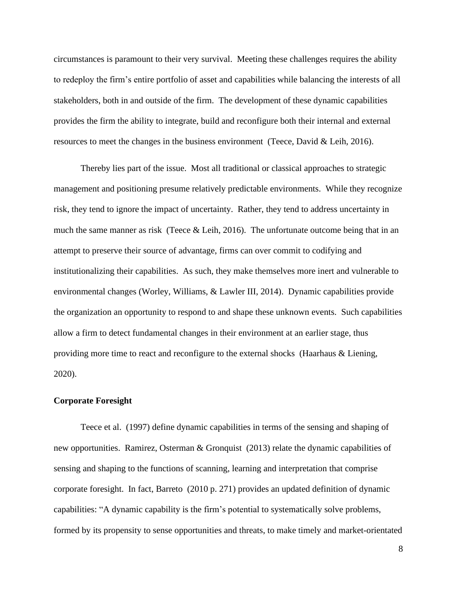circumstances is paramount to their very survival. Meeting these challenges requires the ability to redeploy the firm's entire portfolio of asset and capabilities while balancing the interests of all stakeholders, both in and outside of the firm. The development of these dynamic capabilities provides the firm the ability to integrate, build and reconfigure both their internal and external resources to meet the changes in the business environment (Teece, David & Leih, 2016).

Thereby lies part of the issue. Most all traditional or classical approaches to strategic management and positioning presume relatively predictable environments. While they recognize risk, they tend to ignore the impact of uncertainty. Rather, they tend to address uncertainty in much the same manner as risk (Teece & Leih, 2016). The unfortunate outcome being that in an attempt to preserve their source of advantage, firms can over commit to codifying and institutionalizing their capabilities. As such, they make themselves more inert and vulnerable to environmental changes (Worley, Williams, & Lawler III, 2014). Dynamic capabilities provide the organization an opportunity to respond to and shape these unknown events. Such capabilities allow a firm to detect fundamental changes in their environment at an earlier stage, thus providing more time to react and reconfigure to the external shocks (Haarhaus & Liening, 2020).

#### **Corporate Foresight**

Teece et al. (1997) define dynamic capabilities in terms of the sensing and shaping of new opportunities. Ramirez, Osterman & Gronquist (2013) relate the dynamic capabilities of sensing and shaping to the functions of scanning, learning and interpretation that comprise corporate foresight. In fact, Barreto (2010 p. 271) provides an updated definition of dynamic capabilities: "A dynamic capability is the firm's potential to systematically solve problems, formed by its propensity to sense opportunities and threats, to make timely and market-orientated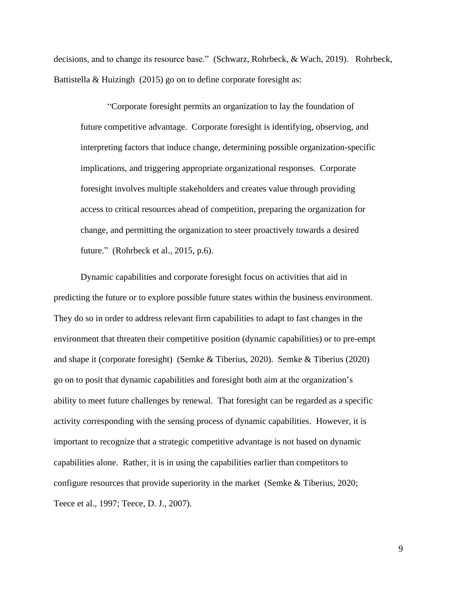decisions, and to change its resource base." (Schwarz, Rohrbeck, & Wach, 2019). Rohrbeck, Battistella & Huizingh (2015) go on to define corporate foresight as:

"Corporate foresight permits an organization to lay the foundation of future competitive advantage. Corporate foresight is identifying, observing, and interpreting factors that induce change, determining possible organization-specific implications, and triggering appropriate organizational responses. Corporate foresight involves multiple stakeholders and creates value through providing access to critical resources ahead of competition, preparing the organization for change, and permitting the organization to steer proactively towards a desired future." (Rohrbeck et al., 2015, p.6).

Dynamic capabilities and corporate foresight focus on activities that aid in predicting the future or to explore possible future states within the business environment. They do so in order to address relevant firm capabilities to adapt to fast changes in the environment that threaten their competitive position (dynamic capabilities) or to pre-empt and shape it (corporate foresight) (Semke & Tiberius, 2020). Semke & Tiberius (2020) go on to posit that dynamic capabilities and foresight both aim at the organization's ability to meet future challenges by renewal. That foresight can be regarded as a specific activity corresponding with the sensing process of dynamic capabilities. However, it is important to recognize that a strategic competitive advantage is not based on dynamic capabilities alone. Rather, it is in using the capabilities earlier than competitors to configure resources that provide superiority in the market (Semke & Tiberius, 2020; Teece et al., 1997; Teece, D. J., 2007).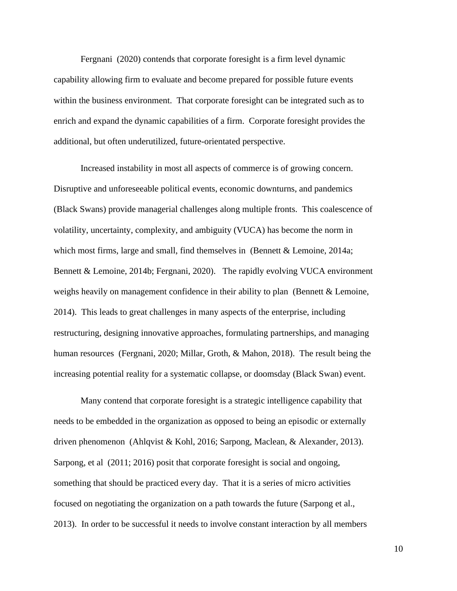Fergnani (2020) contends that corporate foresight is a firm level dynamic capability allowing firm to evaluate and become prepared for possible future events within the business environment. That corporate foresight can be integrated such as to enrich and expand the dynamic capabilities of a firm. Corporate foresight provides the additional, but often underutilized, future-orientated perspective.

Increased instability in most all aspects of commerce is of growing concern. Disruptive and unforeseeable political events, economic downturns, and pandemics (Black Swans) provide managerial challenges along multiple fronts. This coalescence of volatility, uncertainty, complexity, and ambiguity (VUCA) has become the norm in which most firms, large and small, find themselves in (Bennett & Lemoine, 2014a; Bennett & Lemoine, 2014b; Fergnani, 2020). The rapidly evolving VUCA environment weighs heavily on management confidence in their ability to plan (Bennett & Lemoine, 2014). This leads to great challenges in many aspects of the enterprise, including restructuring, designing innovative approaches, formulating partnerships, and managing human resources (Fergnani, 2020; Millar, Groth, & Mahon, 2018). The result being the increasing potential reality for a systematic collapse, or doomsday (Black Swan) event.

Many contend that corporate foresight is a strategic intelligence capability that needs to be embedded in the organization as opposed to being an episodic or externally driven phenomenon (Ahlqvist & Kohl, 2016; Sarpong, Maclean, & Alexander, 2013). Sarpong, et al (2011; 2016) posit that corporate foresight is social and ongoing, something that should be practiced every day. That it is a series of micro activities focused on negotiating the organization on a path towards the future (Sarpong et al., 2013). In order to be successful it needs to involve constant interaction by all members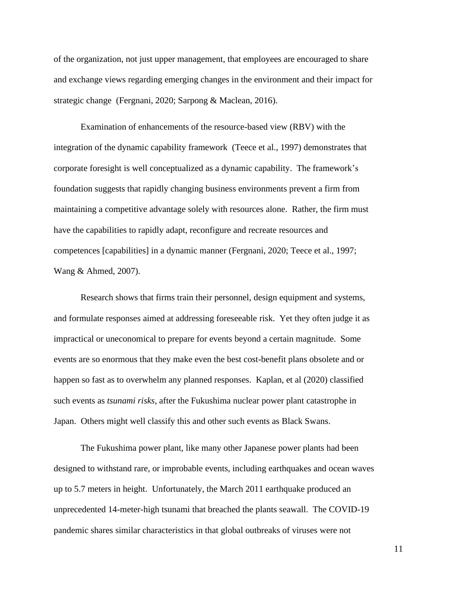of the organization, not just upper management, that employees are encouraged to share and exchange views regarding emerging changes in the environment and their impact for strategic change (Fergnani, 2020; Sarpong & Maclean, 2016).

Examination of enhancements of the resource-based view (RBV) with the integration of the dynamic capability framework (Teece et al., 1997) demonstrates that corporate foresight is well conceptualized as a dynamic capability. The framework's foundation suggests that rapidly changing business environments prevent a firm from maintaining a competitive advantage solely with resources alone. Rather, the firm must have the capabilities to rapidly adapt, reconfigure and recreate resources and competences [capabilities] in a dynamic manner (Fergnani, 2020; Teece et al., 1997; Wang & Ahmed, 2007).

Research shows that firms train their personnel, design equipment and systems, and formulate responses aimed at addressing foreseeable risk. Yet they often judge it as impractical or uneconomical to prepare for events beyond a certain magnitude. Some events are so enormous that they make even the best cost-benefit plans obsolete and or happen so fast as to overwhelm any planned responses. Kaplan, et al (2020) classified such events as *tsunami risks*, after the Fukushima nuclear power plant catastrophe in Japan. Others might well classify this and other such events as Black Swans.

The Fukushima power plant, like many other Japanese power plants had been designed to withstand rare, or improbable events, including earthquakes and ocean waves up to 5.7 meters in height. Unfortunately, the March 2011 earthquake produced an unprecedented 14-meter-high tsunami that breached the plants seawall. The COVID-19 pandemic shares similar characteristics in that global outbreaks of viruses were not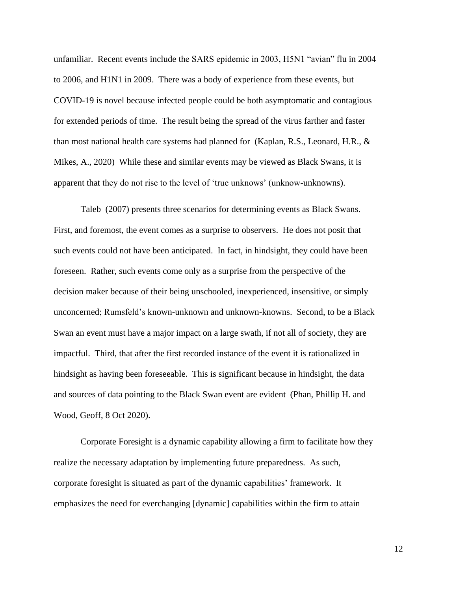unfamiliar. Recent events include the SARS epidemic in 2003, H5N1 "avian" flu in 2004 to 2006, and H1N1 in 2009. There was a body of experience from these events, but COVID-19 is novel because infected people could be both asymptomatic and contagious for extended periods of time. The result being the spread of the virus farther and faster than most national health care systems had planned for (Kaplan, R.S., Leonard, H.R., & Mikes, A., 2020) While these and similar events may be viewed as Black Swans, it is apparent that they do not rise to the level of 'true unknows' (unknow-unknowns).

Taleb (2007) presents three scenarios for determining events as Black Swans. First, and foremost, the event comes as a surprise to observers. He does not posit that such events could not have been anticipated. In fact, in hindsight, they could have been foreseen. Rather, such events come only as a surprise from the perspective of the decision maker because of their being unschooled, inexperienced, insensitive, or simply unconcerned; Rumsfeld's known-unknown and unknown-knowns. Second, to be a Black Swan an event must have a major impact on a large swath, if not all of society, they are impactful. Third, that after the first recorded instance of the event it is rationalized in hindsight as having been foreseeable. This is significant because in hindsight, the data and sources of data pointing to the Black Swan event are evident (Phan, Phillip H. and Wood, Geoff, 8 Oct 2020).

Corporate Foresight is a dynamic capability allowing a firm to facilitate how they realize the necessary adaptation by implementing future preparedness. As such, corporate foresight is situated as part of the dynamic capabilities' framework. It emphasizes the need for everchanging [dynamic] capabilities within the firm to attain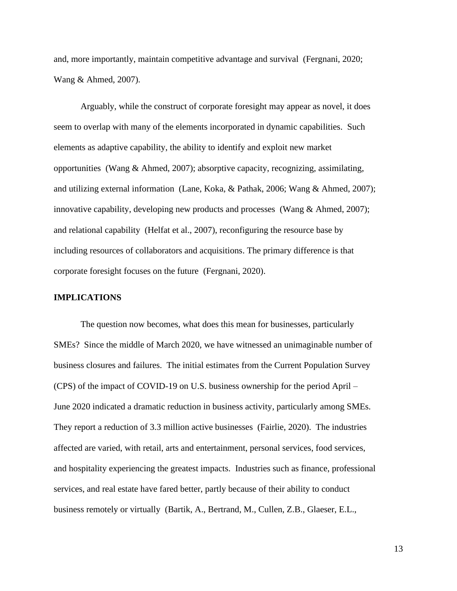and, more importantly, maintain competitive advantage and survival (Fergnani, 2020; Wang & Ahmed, 2007).

Arguably, while the construct of corporate foresight may appear as novel, it does seem to overlap with many of the elements incorporated in dynamic capabilities. Such elements as adaptive capability, the ability to identify and exploit new market opportunities (Wang & Ahmed, 2007); absorptive capacity, recognizing, assimilating, and utilizing external information (Lane, Koka, & Pathak, 2006; Wang & Ahmed, 2007); innovative capability, developing new products and processes (Wang & Ahmed, 2007); and relational capability (Helfat et al., 2007), reconfiguring the resource base by including resources of collaborators and acquisitions. The primary difference is that corporate foresight focuses on the future (Fergnani, 2020).

#### **IMPLICATIONS**

The question now becomes, what does this mean for businesses, particularly SMEs? Since the middle of March 2020, we have witnessed an unimaginable number of business closures and failures. The initial estimates from the Current Population Survey (CPS) of the impact of COVID-19 on U.S. business ownership for the period April – June 2020 indicated a dramatic reduction in business activity, particularly among SMEs. They report a reduction of 3.3 million active businesses (Fairlie, 2020). The industries affected are varied, with retail, arts and entertainment, personal services, food services, and hospitality experiencing the greatest impacts. Industries such as finance, professional services, and real estate have fared better, partly because of their ability to conduct business remotely or virtually (Bartik, A., Bertrand, M., Cullen, Z.B., Glaeser, E.L.,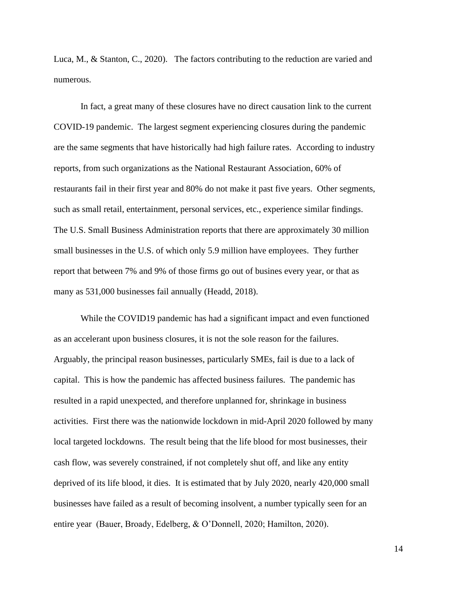Luca, M., & Stanton, C., 2020). The factors contributing to the reduction are varied and numerous.

In fact, a great many of these closures have no direct causation link to the current COVID-19 pandemic. The largest segment experiencing closures during the pandemic are the same segments that have historically had high failure rates. According to industry reports, from such organizations as the National Restaurant Association, 60% of restaurants fail in their first year and 80% do not make it past five years. Other segments, such as small retail, entertainment, personal services, etc., experience similar findings. The U.S. Small Business Administration reports that there are approximately 30 million small businesses in the U.S. of which only 5.9 million have employees. They further report that between 7% and 9% of those firms go out of busines every year, or that as many as 531,000 businesses fail annually (Headd, 2018).

While the COVID19 pandemic has had a significant impact and even functioned as an accelerant upon business closures, it is not the sole reason for the failures. Arguably, the principal reason businesses, particularly SMEs, fail is due to a lack of capital. This is how the pandemic has affected business failures. The pandemic has resulted in a rapid unexpected, and therefore unplanned for, shrinkage in business activities. First there was the nationwide lockdown in mid-April 2020 followed by many local targeted lockdowns. The result being that the life blood for most businesses, their cash flow, was severely constrained, if not completely shut off, and like any entity deprived of its life blood, it dies. It is estimated that by July 2020, nearly 420,000 small businesses have failed as a result of becoming insolvent, a number typically seen for an entire year (Bauer, Broady, Edelberg, & O'Donnell, 2020; Hamilton, 2020).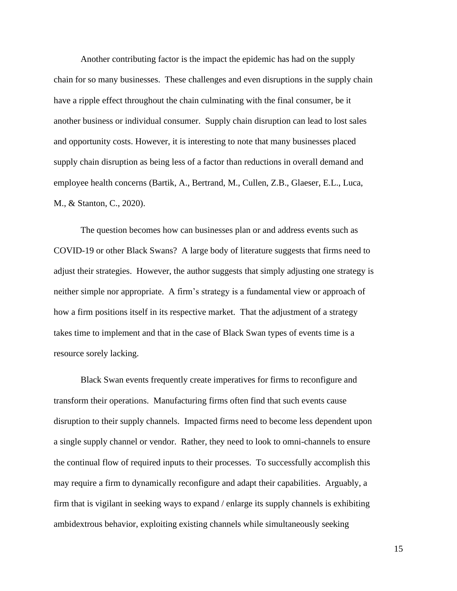Another contributing factor is the impact the epidemic has had on the supply chain for so many businesses. These challenges and even disruptions in the supply chain have a ripple effect throughout the chain culminating with the final consumer, be it another business or individual consumer. Supply chain disruption can lead to lost sales and opportunity costs. However, it is interesting to note that many businesses placed supply chain disruption as being less of a factor than reductions in overall demand and employee health concerns (Bartik, A., Bertrand, M., Cullen, Z.B., Glaeser, E.L., Luca, M., & Stanton, C., 2020).

The question becomes how can businesses plan or and address events such as COVID-19 or other Black Swans? A large body of literature suggests that firms need to adjust their strategies. However, the author suggests that simply adjusting one strategy is neither simple nor appropriate. A firm's strategy is a fundamental view or approach of how a firm positions itself in its respective market. That the adjustment of a strategy takes time to implement and that in the case of Black Swan types of events time is a resource sorely lacking.

Black Swan events frequently create imperatives for firms to reconfigure and transform their operations. Manufacturing firms often find that such events cause disruption to their supply channels. Impacted firms need to become less dependent upon a single supply channel or vendor. Rather, they need to look to omni-channels to ensure the continual flow of required inputs to their processes. To successfully accomplish this may require a firm to dynamically reconfigure and adapt their capabilities. Arguably, a firm that is vigilant in seeking ways to expand / enlarge its supply channels is exhibiting ambidextrous behavior, exploiting existing channels while simultaneously seeking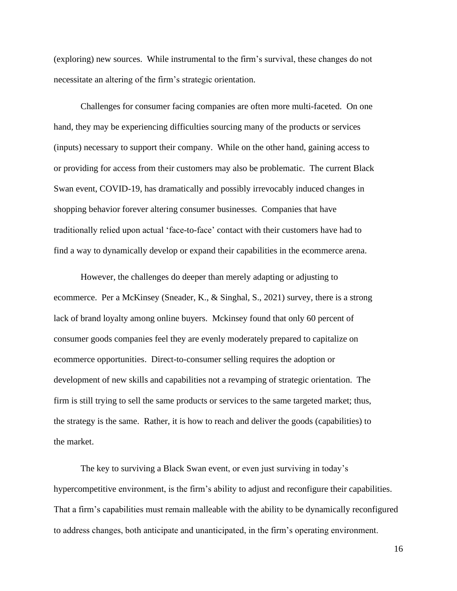(exploring) new sources. While instrumental to the firm's survival, these changes do not necessitate an altering of the firm's strategic orientation.

Challenges for consumer facing companies are often more multi-faceted. On one hand, they may be experiencing difficulties sourcing many of the products or services (inputs) necessary to support their company. While on the other hand, gaining access to or providing for access from their customers may also be problematic. The current Black Swan event, COVID-19, has dramatically and possibly irrevocably induced changes in shopping behavior forever altering consumer businesses. Companies that have traditionally relied upon actual 'face-to-face' contact with their customers have had to find a way to dynamically develop or expand their capabilities in the ecommerce arena.

However, the challenges do deeper than merely adapting or adjusting to ecommerce. Per a McKinsey (Sneader, K., & Singhal, S., 2021) survey, there is a strong lack of brand loyalty among online buyers. Mckinsey found that only 60 percent of consumer goods companies feel they are evenly moderately prepared to capitalize on ecommerce opportunities. Direct-to-consumer selling requires the adoption or development of new skills and capabilities not a revamping of strategic orientation. The firm is still trying to sell the same products or services to the same targeted market; thus, the strategy is the same. Rather, it is how to reach and deliver the goods (capabilities) to the market.

The key to surviving a Black Swan event, or even just surviving in today's hypercompetitive environment, is the firm's ability to adjust and reconfigure their capabilities. That a firm's capabilities must remain malleable with the ability to be dynamically reconfigured to address changes, both anticipate and unanticipated, in the firm's operating environment.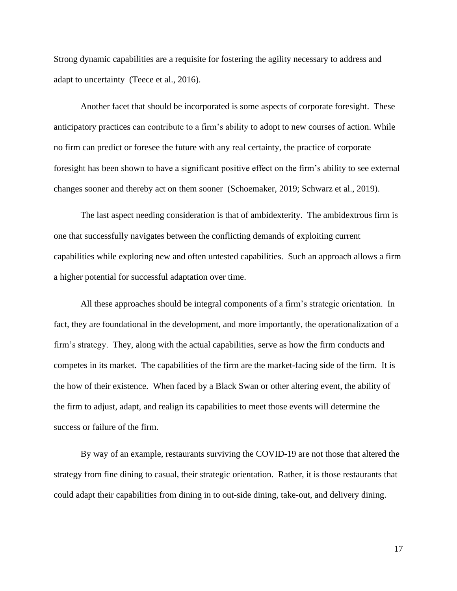Strong dynamic capabilities are a requisite for fostering the agility necessary to address and adapt to uncertainty (Teece et al., 2016).

Another facet that should be incorporated is some aspects of corporate foresight. These anticipatory practices can contribute to a firm's ability to adopt to new courses of action. While no firm can predict or foresee the future with any real certainty, the practice of corporate foresight has been shown to have a significant positive effect on the firm's ability to see external changes sooner and thereby act on them sooner (Schoemaker, 2019; Schwarz et al., 2019).

The last aspect needing consideration is that of ambidexterity. The ambidextrous firm is one that successfully navigates between the conflicting demands of exploiting current capabilities while exploring new and often untested capabilities. Such an approach allows a firm a higher potential for successful adaptation over time.

All these approaches should be integral components of a firm's strategic orientation. In fact, they are foundational in the development, and more importantly, the operationalization of a firm's strategy. They, along with the actual capabilities, serve as how the firm conducts and competes in its market. The capabilities of the firm are the market-facing side of the firm. It is the how of their existence. When faced by a Black Swan or other altering event, the ability of the firm to adjust, adapt, and realign its capabilities to meet those events will determine the success or failure of the firm.

By way of an example, restaurants surviving the COVID-19 are not those that altered the strategy from fine dining to casual, their strategic orientation. Rather, it is those restaurants that could adapt their capabilities from dining in to out-side dining, take-out, and delivery dining.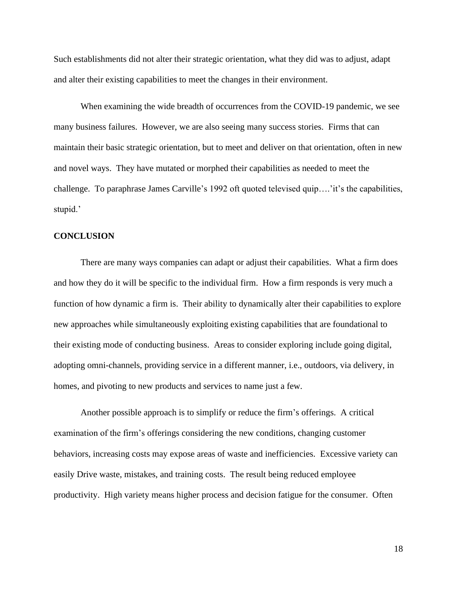Such establishments did not alter their strategic orientation, what they did was to adjust, adapt and alter their existing capabilities to meet the changes in their environment.

When examining the wide breadth of occurrences from the COVID-19 pandemic, we see many business failures. However, we are also seeing many success stories. Firms that can maintain their basic strategic orientation, but to meet and deliver on that orientation, often in new and novel ways. They have mutated or morphed their capabilities as needed to meet the challenge. To paraphrase James Carville's 1992 oft quoted televised quip….'it's the capabilities, stupid.'

#### **CONCLUSION**

There are many ways companies can adapt or adjust their capabilities. What a firm does and how they do it will be specific to the individual firm. How a firm responds is very much a function of how dynamic a firm is. Their ability to dynamically alter their capabilities to explore new approaches while simultaneously exploiting existing capabilities that are foundational to their existing mode of conducting business. Areas to consider exploring include going digital, adopting omni-channels, providing service in a different manner, i.e., outdoors, via delivery, in homes, and pivoting to new products and services to name just a few.

Another possible approach is to simplify or reduce the firm's offerings. A critical examination of the firm's offerings considering the new conditions, changing customer behaviors, increasing costs may expose areas of waste and inefficiencies. Excessive variety can easily Drive waste, mistakes, and training costs. The result being reduced employee productivity. High variety means higher process and decision fatigue for the consumer. Often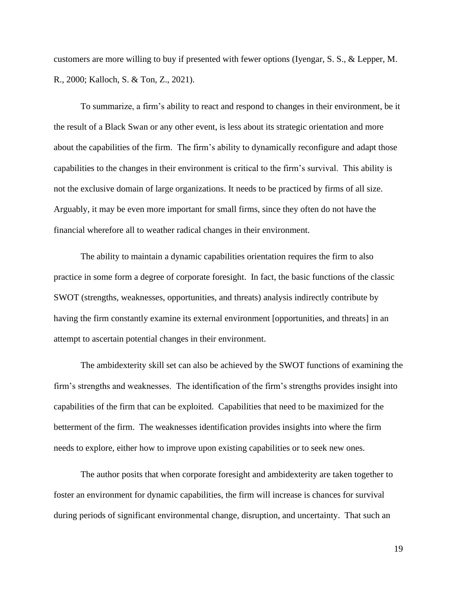customers are more willing to buy if presented with fewer options (Iyengar, S. S., & Lepper, M. R., 2000; Kalloch, S. & Ton, Z., 2021).

To summarize, a firm's ability to react and respond to changes in their environment, be it the result of a Black Swan or any other event, is less about its strategic orientation and more about the capabilities of the firm. The firm's ability to dynamically reconfigure and adapt those capabilities to the changes in their environment is critical to the firm's survival. This ability is not the exclusive domain of large organizations. It needs to be practiced by firms of all size. Arguably, it may be even more important for small firms, since they often do not have the financial wherefore all to weather radical changes in their environment.

The ability to maintain a dynamic capabilities orientation requires the firm to also practice in some form a degree of corporate foresight. In fact, the basic functions of the classic SWOT (strengths, weaknesses, opportunities, and threats) analysis indirectly contribute by having the firm constantly examine its external environment [opportunities, and threats] in an attempt to ascertain potential changes in their environment.

The ambidexterity skill set can also be achieved by the SWOT functions of examining the firm's strengths and weaknesses. The identification of the firm's strengths provides insight into capabilities of the firm that can be exploited. Capabilities that need to be maximized for the betterment of the firm. The weaknesses identification provides insights into where the firm needs to explore, either how to improve upon existing capabilities or to seek new ones.

The author posits that when corporate foresight and ambidexterity are taken together to foster an environment for dynamic capabilities, the firm will increase is chances for survival during periods of significant environmental change, disruption, and uncertainty. That such an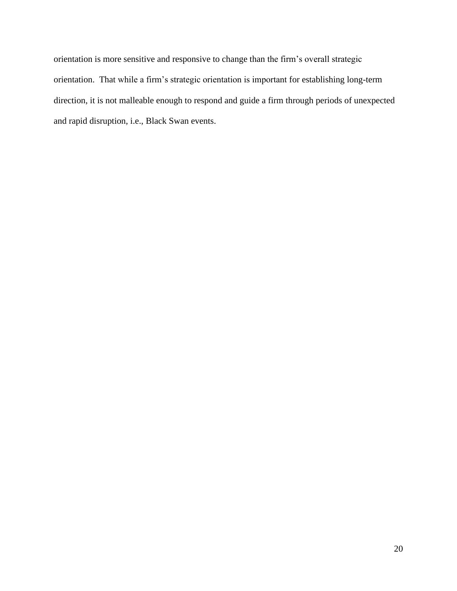orientation is more sensitive and responsive to change than the firm's overall strategic orientation. That while a firm's strategic orientation is important for establishing long-term direction, it is not malleable enough to respond and guide a firm through periods of unexpected and rapid disruption, i.e., Black Swan events.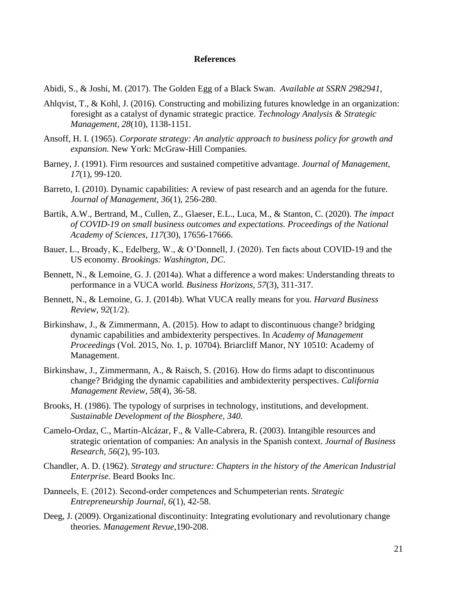#### **References**

Abidi, S., & Joshi, M. (2017). The Golden Egg of a Black Swan. *Available at SSRN 2982941,* 

- Ahlqvist, T., & Kohl, J. (2016). Constructing and mobilizing futures knowledge in an organization: foresight as a catalyst of dynamic strategic practice. *Technology Analysis & Strategic Management, 28*(10), 1138-1151.
- Ansoff, H. I. (1965). *Corporate strategy: An analytic approach to business policy for growth and expansion*. New York: McGraw-Hill Companies.
- Barney, J. (1991). Firm resources and sustained competitive advantage. *Journal of Management, 17*(1), 99-120.
- Barreto, I. (2010). Dynamic capabilities: A review of past research and an agenda for the future. *Journal of Management, 36*(1), 256-280.
- Bartik, A.W., Bertrand, M., Cullen, Z., Glaeser, E.L., Luca, M., & Stanton, C. (2020). *The impact of COVID-19 on small business outcomes and expectations. Proceedings of the National Academy of Sciences*, *117*(30), 17656-17666.
- Bauer, L., Broady, K., Edelberg, W., & O'Donnell, J. (2020). Ten facts about COVID-19 and the US economy. *Brookings: Washington, DC*.
- Bennett, N., & Lemoine, G. J. (2014a). What a difference a word makes: Understanding threats to performance in a VUCA world. *Business Horizons, 57*(3), 311-317.
- Bennett, N., & Lemoine, G. J. (2014b). What VUCA really means for you. *Harvard Business Review, 92*(1/2).
- Birkinshaw, J., & Zimmermann, A. (2015). How to adapt to discontinuous change? bridging dynamic capabilities and ambidexterity perspectives. In *Academy of Management Proceedings* (Vol. 2015, No. 1, p. 10704). Briarcliff Manor, NY 10510: Academy of Management.
- Birkinshaw, J., Zimmermann, A., & Raisch, S. (2016). How do firms adapt to discontinuous change? Bridging the dynamic capabilities and ambidexterity perspectives. *California Management Review, 58*(4), 36-58.
- Brooks, H. (1986). The typology of surprises in technology, institutions, and development. *Sustainable Development of the Biosphere, 340.*
- Camelo-Ordaz, C., Martín-Alcázar, F., & Valle-Cabrera, R. (2003). Intangible resources and strategic orientation of companies: An analysis in the Spanish context. *Journal of Business Research, 56*(2), 95-103.
- Chandler, A. D. (1962). *Strategy and structure: Chapters in the history of the American Industrial Enterprise.* Beard Books Inc.
- Danneels, E. (2012). Second‐order competences and Schumpeterian rents. *Strategic Entrepreneurship Journal, 6*(1), 42-58.
- Deeg, J. (2009). Organizational discontinuity: Integrating evolutionary and revolutionary change theories. *Management Revue,*190-208.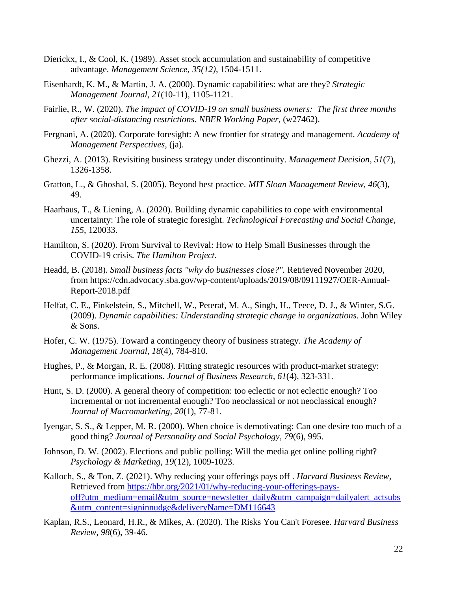- Dierickx, I., & Cool, K. (1989). Asset stock accumulation and sustainability of competitive advantage. *Management Science, 35(12)*, 1504-1511.
- Eisenhardt, K. M., & Martin, J. A. (2000). Dynamic capabilities: what are they? *Strategic Management Journal, 21*(10-11), 1105-1121.
- Fairlie, R., W. (2020). *The impact of COVID-19 on small business owners: The first three months after social-distancing restrictions. NBER Working Paper*, (w27462).
- Fergnani, A. (2020). Corporate foresight: A new frontier for strategy and management. *Academy of Management Perspectives,* (ja).
- Ghezzi, A. (2013). Revisiting business strategy under discontinuity. *Management Decision, 51*(7), 1326-1358.
- Gratton, L., & Ghoshal, S. (2005). Beyond best practice. *MIT Sloan Management Review, 46*(3), 49.
- Haarhaus, T., & Liening, A. (2020). Building dynamic capabilities to cope with environmental uncertainty: The role of strategic foresight. *Technological Forecasting and Social Change, 155*, 120033.
- Hamilton, S. (2020). From Survival to Revival: How to Help Small Businesses through the COVID-19 crisis. *The Hamilton Project.*
- Headd, B. (2018). *Small business facts "why do businesses close?".* Retrieved November 2020, from https://cdn.advocacy.sba.gov/wp-content/uploads/2019/08/09111927/OER-Annual-Report-2018.pdf
- Helfat, C. E., Finkelstein, S., Mitchell, W., Peteraf, M. A., Singh, H., Teece, D. J., & Winter, S.G. (2009). *Dynamic capabilities: Understanding strategic change in organizations.* John Wiley & Sons.
- Hofer, C. W. (1975). Toward a contingency theory of business strategy. *The Academy of Management Journal, 18*(4), 784-810.
- Hughes, P., & Morgan, R. E. (2008). Fitting strategic resources with product-market strategy: performance implications. *Journal of Business Research, 61*(4), 323-331.
- Hunt, S. D. (2000). A general theory of competition: too eclectic or not eclectic enough? Too incremental or not incremental enough? Too neoclassical or not neoclassical enough? *Journal of Macromarketing, 20*(1), 77-81.
- Iyengar, S. S., & Lepper, M. R. (2000). When choice is demotivating: Can one desire too much of a good thing? *Journal of Personality and Social Psychology, 79*(6), 995.
- Johnson, D. W. (2002). Elections and public polling: Will the media get online polling right? *Psychology & Marketing, 19*(12), 1009-1023.
- Kalloch, S., & Ton, Z. (2021). Why reducing your offerings pays off . *Harvard Business Review,*  Retrieved from [https://hbr.org/2021/01/why-reducing-your-offerings-pays](https://hbr.org/2021/01/why-reducing-your-offerings-pays-off?utm_medium=email&utm_source=newsletter_daily&utm_campaign=dailyalert_actsubs&utm_content=signinnudge&deliveryName=DM116643)[off?utm\\_medium=email&utm\\_source=newsletter\\_daily&utm\\_campaign=dailyalert\\_actsubs](https://hbr.org/2021/01/why-reducing-your-offerings-pays-off?utm_medium=email&utm_source=newsletter_daily&utm_campaign=dailyalert_actsubs&utm_content=signinnudge&deliveryName=DM116643) [&utm\\_content=signinnudge&deliveryName=DM116643](https://hbr.org/2021/01/why-reducing-your-offerings-pays-off?utm_medium=email&utm_source=newsletter_daily&utm_campaign=dailyalert_actsubs&utm_content=signinnudge&deliveryName=DM116643)
- Kaplan, R.S., Leonard, H.R., & Mikes, A. (2020). The Risks You Can't Foresee. *Harvard Business Review, 98*(6), 39-46.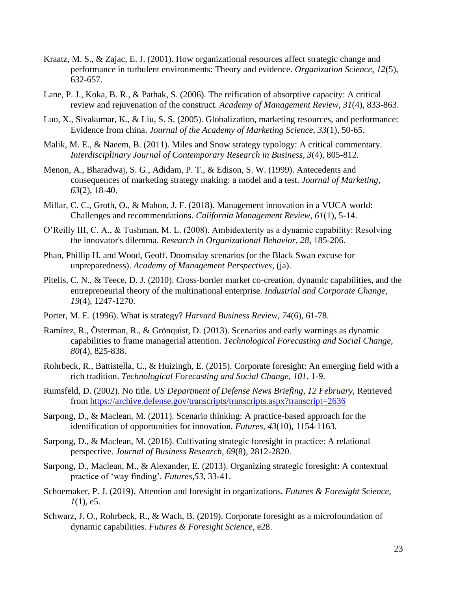- Kraatz, M. S., & Zajac, E. J. (2001). How organizational resources affect strategic change and performance in turbulent environments: Theory and evidence. *Organization Science, 12*(5), 632-657.
- Lane, P. J., Koka, B. R., & Pathak, S. (2006). The reification of absorptive capacity: A critical review and rejuvenation of the construct. *Academy of Management Review, 31*(4), 833-863.
- Luo, X., Sivakumar, K., & Liu, S. S. (2005). Globalization, marketing resources, and performance: Evidence from china. *Journal of the Academy of Marketing Science, 33*(1), 50-65.
- Malik, M. E., & Naeem, B. (2011). Miles and Snow strategy typology: A critical commentary. *Interdisciplinary Journal of Contemporary Research in Business, 3*(4), 805-812.
- Menon, A., Bharadwaj, S. G., Adidam, P. T., & Edison, S. W. (1999). Antecedents and consequences of marketing strategy making: a model and a test. *Journal of Marketing, 63*(2), 18-40.
- Millar, C. C., Groth, O., & Mahon, J. F. (2018). Management innovation in a VUCA world: Challenges and recommendations. *California Management Review, 61*(1), 5-14.
- O'Reilly III, C. A., & Tushman, M. L. (2008). Ambidexterity as a dynamic capability: Resolving the innovator's dilemma. *Research in Organizational Behavior, 28*, 185-206.
- Phan, Phillip H. and Wood, Geoff. Doomsday scenarios (or the Black Swan excuse for unpreparedness). *Academy of Management Perspectives,* (ja).
- Pitelis, C. N., & Teece, D. J. (2010). Cross-border market co-creation, dynamic capabilities, and the entrepreneurial theory of the multinational enterprise. *Industrial and Corporate Change, 19*(4), 1247-1270.
- Porter, M. E. (1996). What is strategy? *Harvard Business Review, 74*(6), 61-78.
- Ramírez, R., Österman, R., & Grönquist, D. (2013). Scenarios and early warnings as dynamic capabilities to frame managerial attention. *Technological Forecasting and Social Change, 80*(4), 825-838.
- Rohrbeck, R., Battistella, C., & Huizingh, E. (2015). Corporate foresight: An emerging field with a rich tradition. *Technological Forecasting and Social Change, 101*, 1-9.
- Rumsfeld, D. (2002). No title. *US Department of Defense News Briefing, 12 February,* Retrieved from<https://archive.defense.gov/transcripts/transcripts.aspx?transcript=2636>
- Sarpong, D., & Maclean, M. (2011). Scenario thinking: A practice-based approach for the identification of opportunities for innovation. *Futures, 43*(10), 1154-1163.
- Sarpong, D., & Maclean, M. (2016). Cultivating strategic foresight in practice: A relational perspective. *Journal of Business Research, 69*(8), 2812-2820.
- Sarpong, D., Maclean, M., & Alexander, E. (2013). Organizing strategic foresight: A contextual practice of 'way finding'. *Futures,53*, 33-41.
- Schoemaker, P. J. (2019). Attention and foresight in organizations. *Futures & Foresight Science,*   $1(1)$ , e5.
- Schwarz, J. O., Rohrbeck, R., & Wach, B. (2019). Corporate foresight as a microfoundation of dynamic capabilities. *Futures & Foresight Science,* e28.